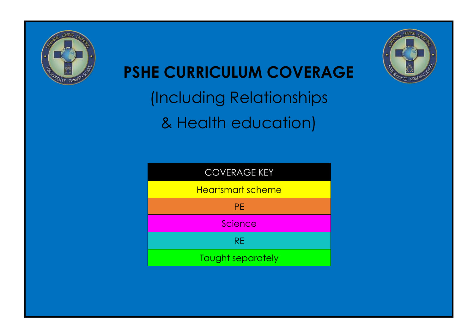

# **PSHE CURRICULUM COVERAGE**

(Including Relationships & Health education)



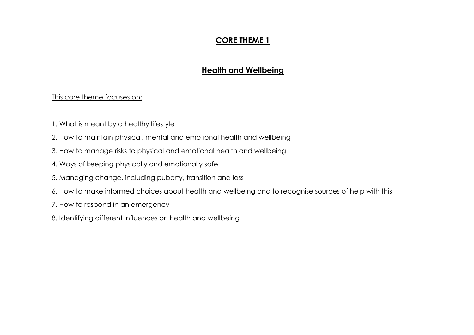## **CORE THEME 1**

## **Health and Wellbeing**

#### This core theme focuses on:

- 1. What is meant by a healthy lifestyle
- 2. How to maintain physical, mental and emotional health and wellbeing
- 3. How to manage risks to physical and emotional health and wellbeing
- 4. Ways of keeping physically and emotionally safe
- 5. Managing change, including puberty, transition and loss
- 6. How to make informed choices about health and wellbeing and to recognise sources of help with this
- 7. How to respond in an emergency
- 8. Identifying different influences on health and wellbeing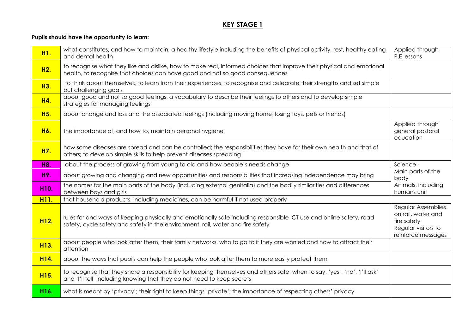| H1.               | what constitutes, and how to maintain, a healthy lifestyle including the benefits of physical activity, rest, healthy eating<br>and dental health                                                      | Applied through<br>P.E lessons                                                                       |
|-------------------|--------------------------------------------------------------------------------------------------------------------------------------------------------------------------------------------------------|------------------------------------------------------------------------------------------------------|
| H <sub>2.</sub>   | to recognise what they like and dislike, how to make real, informed choices that improve their physical and emotional<br>health, to recognise that choices can have good and not so good consequences  |                                                                                                      |
| H3.               | to think about themselves, to learn from their experiences, to recognise and celebrate their strengths and set simple<br>but challenging goals                                                         |                                                                                                      |
| H4.               | about good and not so good feelings, a vocabulary to describe their feelings to others and to develop simple<br>strategies for managing feelings                                                       |                                                                                                      |
| H <sub>5.</sub>   | about change and loss and the associated feelings (including moving home, losing toys, pets or friends)                                                                                                |                                                                                                      |
| H6.               | the importance of, and how to, maintain personal hygiene                                                                                                                                               | Applied through<br>general pastoral<br>education                                                     |
| H7.               | how some diseases are spread and can be controlled; the responsibilities they have for their own health and that of<br>others; to develop simple skills to help prevent diseases spreading             |                                                                                                      |
| H8.               | about the process of growing from young to old and how people's needs change                                                                                                                           | Science -                                                                                            |
| H9.               | about growing and changing and new opportunities and responsibilities that increasing independence may bring                                                                                           | Main parts of the<br>body                                                                            |
| H10.              | the names for the main parts of the body (including external genitalia) and the bodily similarities and differences<br>between boys and girls                                                          | Animals, including<br>humans unit                                                                    |
| H <sub>11</sub> . | that household products, including medicines, can be harmful if not used properly                                                                                                                      |                                                                                                      |
| H <sub>12.</sub>  | rules for and ways of keeping physically and emotionally safe including responsible ICT use and online safety, road<br>safety, cycle safety and safety in the environment, rail, water and fire safety | Regular Assemblies<br>on rail, water and<br>fire safety<br>Regular visitors to<br>reinforce messages |
| H <sub>13.</sub>  | about people who look after them, their family networks, who to go to if they are worried and how to attract their<br>attention                                                                        |                                                                                                      |
| H14.              | about the ways that pupils can help the people who look after them to more easily protect them                                                                                                         |                                                                                                      |
| H <sub>15.</sub>  | to recognise that they share a responsibility for keeping themselves and others safe, when to say, 'yes', 'no', 'I'll ask'<br>and 'I'll tell' including knowing that they do not need to keep secrets  |                                                                                                      |
| H16.              | what is meant by 'privacy'; their right to keep things 'private'; the importance of respecting others' privacy                                                                                         |                                                                                                      |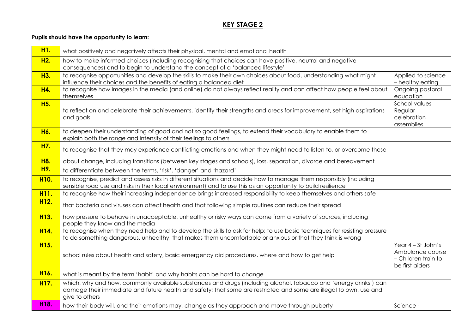| H <sub>1</sub> .  | what positively and negatively affects their physical, mental and emotional health                                                                                                                                                                       |                                                                                    |
|-------------------|----------------------------------------------------------------------------------------------------------------------------------------------------------------------------------------------------------------------------------------------------------|------------------------------------------------------------------------------------|
| H <sub>2</sub> .  | how to make informed choices (including recognising that choices can have positive, neutral and negative<br>consequences) and to begin to understand the concept of a 'balanced lifestyle'                                                               |                                                                                    |
| H3.               | to recognise opportunities and develop the skills to make their own choices about food, understanding what might<br>influence their choices and the benefits of eating a balanced diet                                                                   | Applied to science<br>- healthy eating                                             |
| H4.               | to recognise how images in the media (and online) do not always reflect reality and can affect how people feel about<br>themselves                                                                                                                       | Ongoing pastoral<br>education                                                      |
| H <sub>5</sub> .  | to reflect on and celebrate their achievements, identify their strengths and areas for improvement, set high aspirations<br>and goals                                                                                                                    | School values<br>Regular<br>celebration<br>assemblies                              |
| H6.               | to deepen their understanding of good and not so good feelings, to extend their vocabulary to enable them to<br>explain both the range and intensity of their feelings to others                                                                         |                                                                                    |
| H7.               | to recognise that they may experience conflicting emotions and when they might need to listen to, or overcome these                                                                                                                                      |                                                                                    |
| <b>H8.</b>        | about change, including transitions (between key stages and schools), loss, separation, divorce and bereavement                                                                                                                                          |                                                                                    |
| H9.               | to differentiate between the terms, 'risk', 'danger' and 'hazard'                                                                                                                                                                                        |                                                                                    |
| H <sub>10</sub> . | to recognise, predict and assess risks in different situations and decide how to manage them responsibly (including<br>sensible road use and risks in their local environment) and to use this as an opportunity to build resilience                     |                                                                                    |
| H <sub>11</sub> . | to recognise how their increasing independence brings increased responsibility to keep themselves and others safe                                                                                                                                        |                                                                                    |
| H <sub>12.</sub>  | that bacteria and viruses can affect health and that following simple routines can reduce their spread                                                                                                                                                   |                                                                                    |
| H <sub>13.</sub>  | how pressure to behave in unacceptable, unhealthy or risky ways can come from a variety of sources, including<br>people they know and the media                                                                                                          |                                                                                    |
| H14.              | to recognise when they need help and to develop the skills to ask for help; to use basic techniques for resisting pressure<br>to do something dangerous, unhealthy, that makes them uncomfortable or anxious or that they think is wrong                 |                                                                                    |
| H <sub>15.</sub>  | school rules about health and safety, basic emergency aid procedures, where and how to get help                                                                                                                                                          | Year $4 - St$ John's<br>Ambulance course<br>- Children train to<br>be first aiders |
| H <sub>16.</sub>  | what is meant by the term 'habit' and why habits can be hard to change                                                                                                                                                                                   |                                                                                    |
| H <sub>17.</sub>  | which, why and how, commonly available substances and drugs (including alcohol, tobacco and 'energy drinks') can<br>damage their immediate and future health and safety; that some are restricted and some are illegal to own, use and<br>give to others |                                                                                    |
| H18.              | how their body will, and their emotions may, change as they approach and move through puberty                                                                                                                                                            | Science -                                                                          |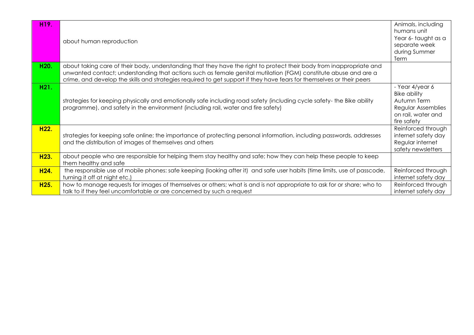| H19.             | about human reproduction                                                                                                                                                                                                                                                                                                                                         | Animals, including<br>humans unit<br>Year 6-taught as a<br>separate week<br>during Summer<br>Term                |
|------------------|------------------------------------------------------------------------------------------------------------------------------------------------------------------------------------------------------------------------------------------------------------------------------------------------------------------------------------------------------------------|------------------------------------------------------------------------------------------------------------------|
| H20.             | about taking care of their body, understanding that they have the right to protect their body from inappropriate and<br>unwanted contact; understanding that actions such as female genital mutilation (FGM) constitute abuse and are a<br>crime, and develop the skills and strategies required to get support if they have fears for themselves or their peers |                                                                                                                  |
| H21.             | strategies for keeping physically and emotionally safe including road safety (including cycle safety-the Bike ability<br>programme), and safety in the environment (including rail, water and fire safety)                                                                                                                                                       | - Year 4/year 6<br><b>Bike ability</b><br>Autumn Term<br>Regular Assemblies<br>on rail, water and<br>fire safety |
| H22.             | strategies for keeping safe online; the importance of protecting personal information, including passwords, addresses<br>and the distribution of images of themselves and others                                                                                                                                                                                 | Reinforced through<br>internet safety day<br>Regular internet<br>safety newsletters                              |
| H <sub>23.</sub> | about people who are responsible for helping them stay healthy and safe; how they can help these people to keep<br>them healthy and safe                                                                                                                                                                                                                         |                                                                                                                  |
| H <sub>24.</sub> | the responsible use of mobile phones: safe keeping (looking after it) and safe user habits (time limits, use of passcode,<br>turning it off at night etc.)                                                                                                                                                                                                       | Reinforced through<br>internet safety day                                                                        |
| H <sub>25.</sub> | how to manage requests for images of themselves or others; what is and is not appropriate to ask for or share; who to<br>talk to if they feel uncomfortable or are concerned by such a request                                                                                                                                                                   | Reinforced through<br>internet safety day                                                                        |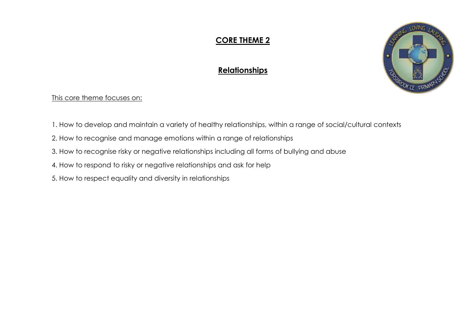# **CORE THEME 2**

## **Relationships**



This core theme focuses on:

- 1. How to develop and maintain a variety of healthy relationships, within a range of social/cultural contexts
- 2. How to recognise and manage emotions within a range of relationships
- 3. How to recognise risky or negative relationships including all forms of bullying and abuse
- 4. How to respond to risky or negative relationships and ask for help
- 5. How to respect equality and diversity in relationships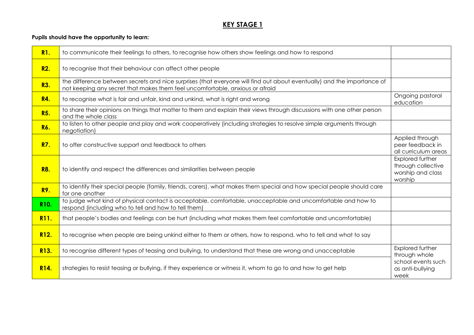| R1.               | to communicate their feelings to others, to recognise how others show feelings and how to respond                                                                                                      |                                                                        |
|-------------------|--------------------------------------------------------------------------------------------------------------------------------------------------------------------------------------------------------|------------------------------------------------------------------------|
| R <sub>2</sub> .  | to recognise that their behaviour can affect other people                                                                                                                                              |                                                                        |
| R3.               | the difference between secrets and nice surprises (that everyone will find out about eventually) and the importance of<br>not keeping any secret that makes them feel uncomfortable, anxious or afraid |                                                                        |
| <b>R4.</b>        | to recognise what is fair and unfair, kind and unkind, what is right and wrong                                                                                                                         | Ongoing pastoral<br>education                                          |
| R <sub>5</sub> .  | to share their opinions on things that matter to them and explain their views through discussions with one other person<br>and the whole class                                                         |                                                                        |
| R6.               | to listen to other people and play and work cooperatively (including strategies to resolve simple arguments through<br>negotiation)                                                                    |                                                                        |
| <b>R7.</b>        | to offer constructive support and feedback to others                                                                                                                                                   | Applied through<br>peer feedback in<br>all curriculum areas            |
| <b>R8.</b>        | to identify and respect the differences and similarities between people                                                                                                                                | Explored further<br>through collective<br>worship and class<br>worship |
| R9.               | to identify their special people (family, friends, carers), what makes them special and how special people should care<br>for one another                                                              |                                                                        |
| R <sub>10</sub> . | to judge what kind of physical contact is acceptable, comfortable, unacceptable and uncomfortable and how to<br>respond (including who to tell and how to tell them)                                   |                                                                        |
| R <sub>11</sub> . | that people's bodies and feelings can be hurt (including what makes them feel comfortable and uncomfortable)                                                                                           |                                                                        |
| R <sub>12.</sub>  | to recognise when people are being unkind either to them or others, how to respond, who to tell and what to say                                                                                        |                                                                        |
| R <sub>13.</sub>  | to recognise different types of teasing and bullying, to understand that these are wrong and unacceptable                                                                                              | Explored further<br>through whole                                      |
| R <sub>14</sub> . | strategies to resist teasing or bullying, if they experience or witness it, whom to go to and how to get help                                                                                          | school events such<br>as anti-bullying<br>week                         |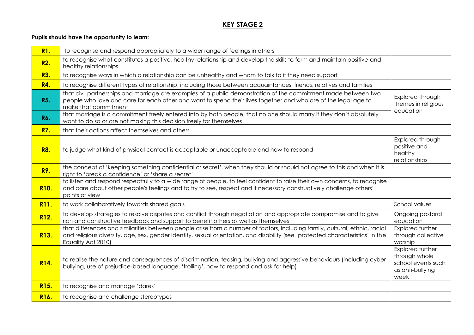| R1.               | to recognise and respond appropriately to a wider range of feelings in others                                                                                                                                                                                                       |                                                                                     |
|-------------------|-------------------------------------------------------------------------------------------------------------------------------------------------------------------------------------------------------------------------------------------------------------------------------------|-------------------------------------------------------------------------------------|
| R <sub>2</sub> .  | to recognise what constitutes a positive, healthy relationship and develop the skills to form and maintain positive and<br>healthy relationships                                                                                                                                    |                                                                                     |
| R3.               | to recognise ways in which a relationship can be unhealthy and whom to talk to if they need support                                                                                                                                                                                 |                                                                                     |
| <b>R4.</b>        | to recognise different types of relationship, including those between acquaintances, friends, relatives and families                                                                                                                                                                |                                                                                     |
| <b>R5.</b>        | that civil partnerships and marriage are examples of a public demonstration of the commitment made between two<br>people who love and care for each other and want to spend their lives together and who are of the legal age to<br>make that commitment                            | Explored through<br>themes in religious<br>education                                |
| R6.               | that marriage is a commitment freely entered into by both people, that no one should marry if they don't absolutely<br>want to do so or are not making this decision freely for themselves                                                                                          |                                                                                     |
| <b>R7.</b>        | that their actions affect themselves and others                                                                                                                                                                                                                                     |                                                                                     |
| <b>R8.</b>        | to judge what kind of physical contact is acceptable or unacceptable and how to respond                                                                                                                                                                                             | Explored through<br>positive and<br>healthy<br>relationships                        |
| <b>R9.</b>        | the concept of 'keeping something confidential or secret', when they should or should not agree to this and when it is<br>right to 'break a confidence' or 'share a secret'                                                                                                         |                                                                                     |
| R <sub>10</sub> . | to listen and respond respectfully to a wide range of people, to feel confident to raise their own concerns, to recognise<br>and care about other people's feelings and to try to see, respect and if necessary constructively challenge others'<br>points of view                  |                                                                                     |
| R <sub>11</sub> . | to work collaboratively towards shared goals                                                                                                                                                                                                                                        | School values                                                                       |
| R <sub>12.</sub>  | to develop strategies to resolve disputes and conflict through negotiation and appropriate compromise and to give<br>rich and constructive feedback and support to benefit others as well as themselves                                                                             | Ongoing pastoral<br>education                                                       |
| R <sub>13.</sub>  | that differences and similarities between people arise from a number of factors, including family, cultural, ethnic, racial<br>and religious diversity, age, sex, gender identity, sexual orientation, and disability (see 'protected characteristics' in the<br>Equality Act 2010) | Explored further<br>through collective<br>worship                                   |
| R14.              | to realise the nature and consequences of discrimination, teasing, bullying and aggressive behaviours (including cyber<br>bullying, use of prejudice-based language, 'trolling', how to respond and ask for help)                                                                   | Explored further<br>through whole<br>school events such<br>as anti-bullying<br>week |
| R <sub>15.</sub>  | to recognise and manage 'dares'                                                                                                                                                                                                                                                     |                                                                                     |
| R16.              | to recognise and challenge stereotypes                                                                                                                                                                                                                                              |                                                                                     |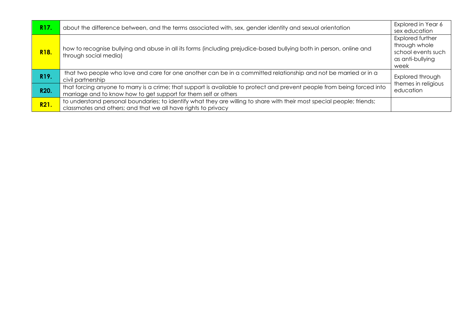| R <sub>17</sub> . | about the difference between, and the terms associated with, sex, gender identity and sexual orientation                                                                                   | Explored in Year 6<br>sex education                                                 |
|-------------------|--------------------------------------------------------------------------------------------------------------------------------------------------------------------------------------------|-------------------------------------------------------------------------------------|
| R <sub>18</sub> . | how to recognise bullying and abuse in all its forms (including prejudice-based bullying both in person, online and<br>through social media)                                               | Explored further<br>through whole<br>school events such<br>as anti-bullying<br>week |
| R19.              | that two people who love and care for one another can be in a committed relationship and not be married or in a<br>civil partnership                                                       | Explored through<br>themes in religious<br>education                                |
| R20.              | that forcing anyone to marry is a crime; that support is available to protect and prevent people from being forced into<br>marriage and to know how to get support for them self or others |                                                                                     |
| R <sub>21</sub> . | to understand personal boundaries; to identify what they are willing to share with their most special people; friends;<br>classmates and others; and that we all have rights to privacy    |                                                                                     |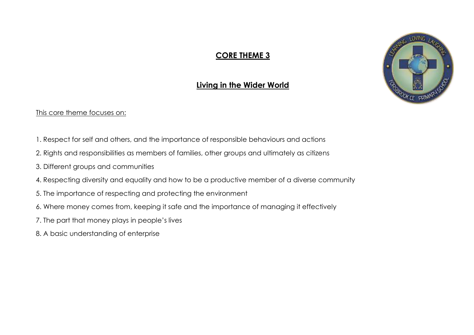## **CORE THEME 3**



### **Living in the Wider World**

#### This core theme focuses on:

- 1. Respect for self and others, and the importance of responsible behaviours and actions
- 2. Rights and responsibilities as members of families, other groups and ultimately as citizens
- 3. Different groups and communities
- 4. Respecting diversity and equality and how to be a productive member of a diverse community
- 5. The importance of respecting and protecting the environment
- 6. Where money comes from, keeping it safe and the importance of managing it effectively
- 7. The part that money plays in people's lives
- 8. A basic understanding of enterprise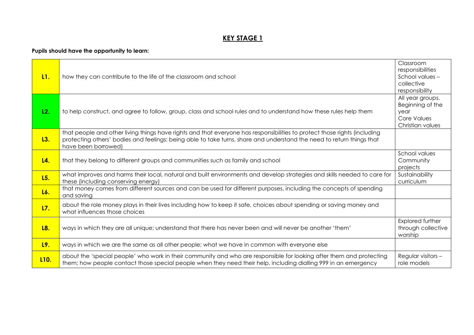| L1.               | how they can contribute to the life of the classroom and school                                                                                                                                                                                                           | Classroom<br>responsibilities<br>School values-<br>collective<br>responsibility        |
|-------------------|---------------------------------------------------------------------------------------------------------------------------------------------------------------------------------------------------------------------------------------------------------------------------|----------------------------------------------------------------------------------------|
| L2.               | to help construct, and agree to follow, group, class and school rules and to understand how these rules help them                                                                                                                                                         | All year groups.<br>Beginning of the<br>year<br><b>Core Values</b><br>Christian values |
| L3.               | that people and other living things have rights and that everyone has responsibilities to protect those rights (including<br>protecting others' bodies and feelings; being able to take turns, share and understand the need to return things that<br>have been borrowed) |                                                                                        |
| L4.               | that they belong to different groups and communities such as family and school                                                                                                                                                                                            | School values<br>Community<br>projects                                                 |
| L5.               | what improves and harms their local, natural and built environments and develop strategies and skills needed to care for<br>these (including conserving energy)                                                                                                           | Sustainability<br>curriculum                                                           |
| L6.               | that money comes from different sources and can be used for different purposes, including the concepts of spending<br>and saving                                                                                                                                          |                                                                                        |
| L7.               | about the role money plays in their lives including how to keep it safe, choices about spending or saving money and<br>what influences those choices                                                                                                                      |                                                                                        |
| L8.               | ways in which they are all unique; understand that there has never been and will never be another 'them'                                                                                                                                                                  | Explored further<br>through collective<br>worship                                      |
| L9.               | ways in which we are the same as all other people; what we have in common with everyone else                                                                                                                                                                              |                                                                                        |
| L <sub>10</sub> . | about the 'special people' who work in their community and who are responsible for looking after them and protecting<br>them; how people contact those special people when they need their help, including dialling 999 in an emergency                                   | Regular visitors -<br>role models                                                      |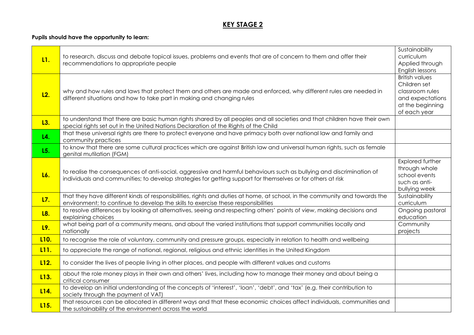| L1.               | to research, discuss and debate topical issues, problems and events that are of concern to them and offer their<br>recommendations to appropriate people                                                                            | Sustainability<br>curriculum<br>Applied through<br>English lessons                                               |
|-------------------|-------------------------------------------------------------------------------------------------------------------------------------------------------------------------------------------------------------------------------------|------------------------------------------------------------------------------------------------------------------|
| L <sub>2</sub> .  | why and how rules and laws that protect them and others are made and enforced, why different rules are needed in<br>different situations and how to take part in making and changing rules                                          | <b>British values</b><br>Children set<br>classroom rules<br>and expectations<br>at the beginning<br>of each year |
| L3.               | to understand that there are basic human rights shared by all peoples and all societies and that children have their own<br>special rights set out in the United Nations Declaration of the Rights of the Child                     |                                                                                                                  |
| L4.               | that these universal rights are there to protect everyone and have primacy both over national law and family and<br>community practices                                                                                             |                                                                                                                  |
| L5.               | to know that there are some cultural practices which are against British law and universal human rights, such as female<br>genital mutilation (FGM)                                                                                 |                                                                                                                  |
| L6.               | to realise the consequences of anti-social, aggressive and harmful behaviours such as bullying and discrimination of<br>individuals and communities; to develop strategies for getting support for themselves or for others at risk | Explored further<br>through whole<br>school events<br>such as anti-<br>bullying week                             |
| L7.               | that they have different kinds of responsibilities, rights and duties at home, at school, in the community and towards the<br>environment; to continue to develop the skills to exercise these responsibilities                     | Sustainability<br>curriculum                                                                                     |
| L8.               | to resolve differences by looking at alternatives, seeing and respecting others' points of view, making decisions and<br>explaining choices                                                                                         | Ongoing pastoral<br>education                                                                                    |
| L9.               | what being part of a community means, and about the varied institutions that support communities locally and<br>nationally                                                                                                          | Community<br>projects                                                                                            |
| L <sub>10</sub> . | to recognise the role of voluntary, community and pressure groups, especially in relation to health and wellbeing                                                                                                                   |                                                                                                                  |
| L <sub>11</sub> . | to appreciate the range of national, regional, religious and ethnic identities in the United Kingdom                                                                                                                                |                                                                                                                  |
| L <sub>12</sub> . | to consider the lives of people living in other places, and people with different values and customs                                                                                                                                |                                                                                                                  |
| L <sub>13.</sub>  | about the role money plays in their own and others' lives, including how to manage their money and about being a<br>critical consumer                                                                                               |                                                                                                                  |
| L14.              | to develop an initial understanding of the concepts of 'interest', 'loan', 'debt', and 'tax' (e.g. their contribution to<br>society through the payment of VAT)                                                                     |                                                                                                                  |
| L <sub>15.</sub>  | that resources can be allocated in different ways and that these economic choices affect individuals, communities and<br>the sustainability of the environment across the world                                                     |                                                                                                                  |